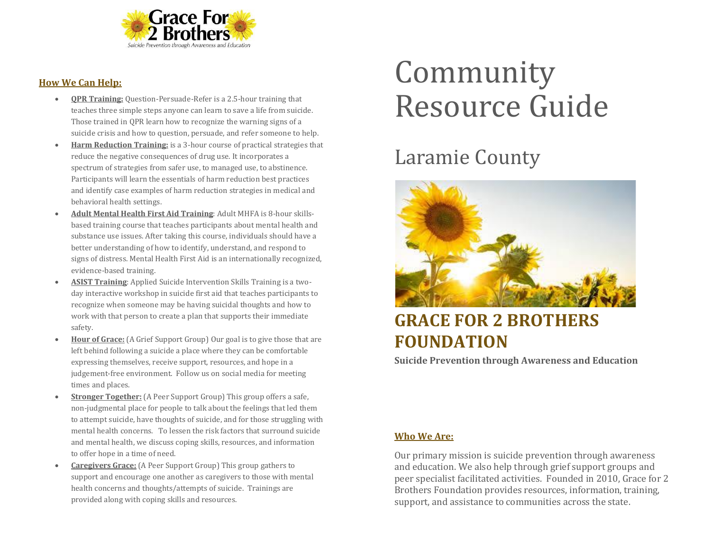

#### **How We Can Help:**

- **QPR Training:** Question-Persuade-Refer is a 2.5-hour training that teaches three simple steps anyone can learn to save a life from suicide. Those trained in QPR learn how to recognize the warning signs of a suicide crisis and how to question, persuade, and refer someone to help.
- **Harm Reduction Training:** is a 3-hour course of practical strategies that reduce the negative consequences of drug use. It incorporates a spectrum of strategies from safer use, to managed use, to abstinence. Participants will learn the essentials of harm reduction best practices and identify case examples of harm reduction strategies in medical and behavioral health settings.
- **Adult Mental Health First Aid Training**: Adult MHFA is 8-hour skillsbased training course that teaches participants about mental health and substance use issues. After taking this course, individuals should have a better understanding of how to identify, understand, and respond to signs of distress. Mental Health First Aid is an internationally recognized, evidence-based training.
- **ASIST Training**: Applied Suicide Intervention Skills Training is a twoday interactive workshop in suicide first aid that teaches participants to recognize when someone may be having suicidal thoughts and how to work with that person to create a plan that supports their immediate safety.
- **Hour of Grace:** (A Grief Support Group) Our goal is to give those that are left behind following a suicide a place where they can be comfortable expressing themselves, receive support, resources, and hope in a judgement-free environment. Follow us on social media for meeting times and places.
- **Stronger Together:** (A Peer Support Group) This group offers a safe, non-judgmental place for people to talk about the feelings that led them to attempt suicide, have thoughts of suicide, and for those struggling with mental health concerns. To lessen the risk factors that surround suicide and mental health, we discuss coping skills, resources, and information to offer hope in a time of need.
- **Caregivers Grace:** (A Peer Support Group) This group gathers to support and encourage one another as caregivers to those with mental health concerns and thoughts/attempts of suicide. Trainings are provided along with coping skills and resources.

# Community Resource Guide

## Laramie County



### **GRACE FOR 2 BROTHERS FOUNDATION**

**Suicide Prevention through Awareness and Education**

#### **Who We Are:**

Our primary mission is suicide prevention through awareness and education. We also help through grief support groups and peer specialist facilitated activities. Founded in 2010, Grace for 2 Brothers Foundation provides resources, information, training, support, and assistance to communities across the state.